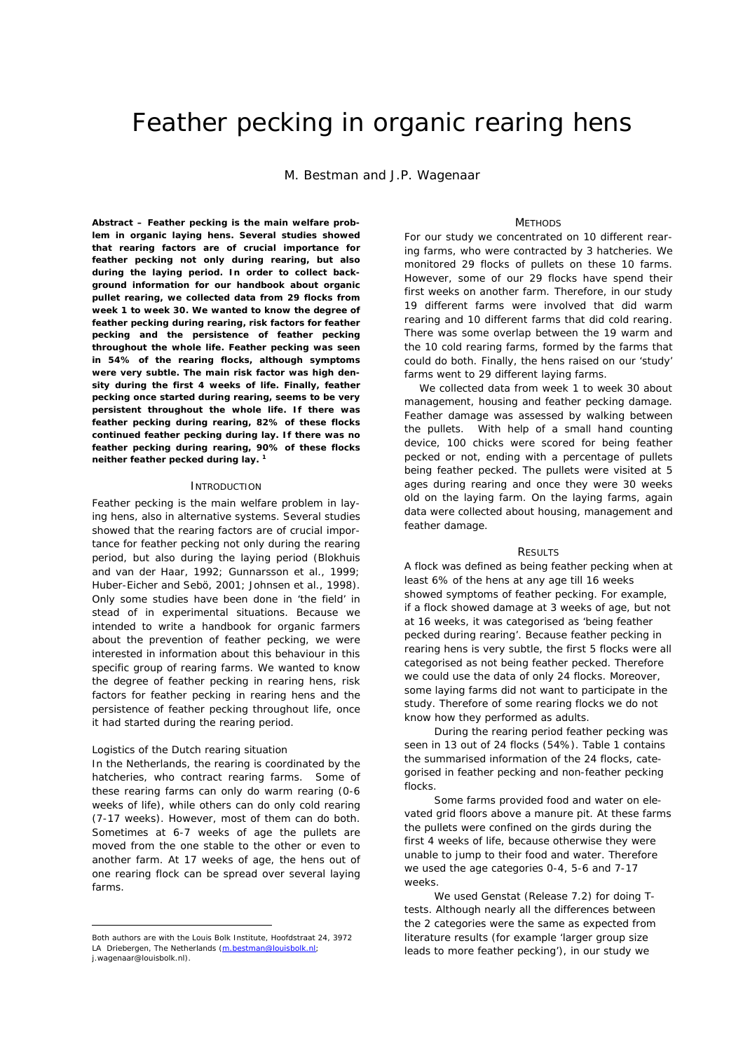# Feather pecking in organic rearing hens

M. Bestman and J.P. Wagenaar

*Abstract –* **Feather pecking is the main welfare problem in organic laying hens. Several studies showed that rearing factors are of crucial importance for feather pecking not only during rearing, but also during the laying period. In order to collect background information for our handbook about organic pullet rearing, we collected data from 29 flocks from week 1 to week 30. We wanted to know the degree of feather pecking during rearing, risk factors for feather pecking and the persistence of feather pecking throughout the whole life. Feather pecking was seen in 54% of the rearing flocks, although symptoms were very subtle. The main risk factor was high density during the first 4 weeks of life. Finally, feather pecking once started during rearing, seems to be very persistent throughout the whole life. If there was feather pecking during rearing, 82% of these flocks continued feather pecking during lay. If there was no feather pecking during rearing, 90% of these flocks neither feather pecked during lay. <sup>1</sup>**

## **INTRODUCTION**

Feather pecking is the main welfare problem in laying hens, also in alternative systems. Several studies showed that the rearing factors are of crucial importance for feather pecking not only during the rearing period, but also during the laying period (Blokhuis and van der Haar, 1992; Gunnarsson et al., 1999; Huber-Eicher and Sebö, 2001; Johnsen et al., 1998). Only some studies have been done in 'the field' in stead of in experimental situations. Because we intended to write a handbook for organic farmers about the prevention of feather pecking, we were interested in information about this behaviour in this specific group of rearing farms. We wanted to know the degree of feather pecking in rearing hens, risk factors for feather pecking in rearing hens and the persistence of feather pecking throughout life, once it had started during the rearing period.

## *Logistics of the Dutch rearing situation*

 $\overline{a}$ 

In the Netherlands, the rearing is coordinated by the hatcheries, who contract rearing farms. Some of these rearing farms can only do warm rearing (0-6 weeks of life), while others can do only cold rearing (7-17 weeks). However, most of them can do both. Sometimes at 6-7 weeks of age the pullets are moved from the one stable to the other or even to another farm. At 17 weeks of age, the hens out of one rearing flock can be spread over several laying farms.

## **METHODS**

For our study we concentrated on 10 different rearing farms, who were contracted by 3 hatcheries. We monitored 29 flocks of pullets on these 10 farms. However, some of our 29 flocks have spend their first weeks on another farm. Therefore, in our study 19 different farms were involved that did warm rearing and 10 different farms that did cold rearing. There was some overlap between the 19 warm and the 10 cold rearing farms, formed by the farms that could do both. Finally, the hens raised on our 'study' farms went to 29 different laying farms.

We collected data from week 1 to week 30 about management, housing and feather pecking damage. Feather damage was assessed by walking between the pullets. With help of a small hand counting device, 100 chicks were scored for being feather pecked or not, ending with a percentage of pullets being feather pecked. The pullets were visited at 5 ages during rearing and once they were 30 weeks old on the laying farm. On the laying farms, again data were collected about housing, management and feather damage.

#### **RESULTS**

A flock was defined as being feather pecking when at least 6% of the hens at any age till 16 weeks showed symptoms of feather pecking. For example, if a flock showed damage at 3 weeks of age, but not at 16 weeks, it was categorised as 'being feather pecked during rearing'. Because feather pecking in rearing hens is very subtle, the first 5 flocks were all categorised as not being feather pecked. Therefore we could use the data of only 24 flocks. Moreover, some laying farms did not want to participate in the study. Therefore of some rearing flocks we do not know how they performed as adults.

During the rearing period feather pecking was seen in 13 out of 24 flocks (54%). Table 1 contains the summarised information of the 24 flocks, categorised in feather pecking and non-feather pecking flocks.

Some farms provided food and water on elevated grid floors above a manure pit. At these farms the pullets were confined on the girds during the first 4 weeks of life, because otherwise they were unable to jump to their food and water. Therefore we used the age categories 0-4, 5-6 and 7-17 weeks.

We used Genstat (Release 7.2) for doing Ttests. Although nearly all the differences between the 2 categories were the same as expected from literature results (for example 'larger group size leads to more feather pecking'), in our study we

Both authors are with the Louis Bolk Institute, Hoofdstraat 24, 3972 LA Driebergen, The Netherlands (m.bestman@louisbolk.nl; j.wagenaar@louisbolk.nl).